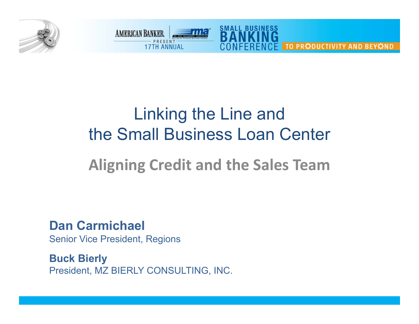



# Linking the Line and the Small Business Loan Center

## **Aligning Credit and the Sales Team**

**Dan Carmichael**Senior Vice President, Regions

**Buck Bierly** President, MZ BIERLY CONSULTING, INC.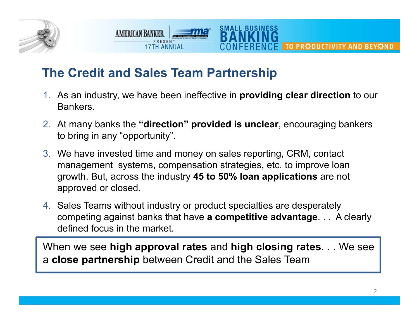

## **The Credit and Sales Team Partnership**

**AMERICAN BANKER** 

1. As an industry, we have been ineffective in **providing clear direction** to our Bankers.

SMALL BUSIN

- 2. At many banks the **"direction" provided is unclear**, encouraging bankers to bring in any "opportunity".
- 3. We have invested time and money on sales reporting, CRM, contact management systems, compensation strategies, etc. to improve loan growth. But, across the industry **45 to 50% loan applications** are not approved or closed.
- 4. Sales Teams without industry or product specialties are desperately competing against banks that have **a competitive advantage**. . . A clearly defined focus in the market.

When we see **high approval rates** and **high closing rates**. . . We see <sup>a</sup>**close partnership** between Credit and the Sales Team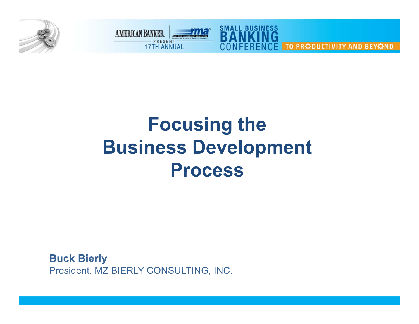



# **Focusing the Business Development Process**

**Buck Bierly** President, MZ BIERLY CONSULTING, INC.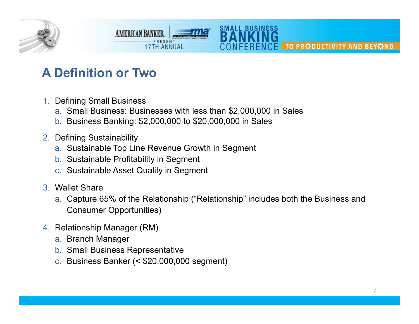

## **A Definition or Two**

- 1. Defining Small Business
	- a. Small Business: Businesses with less than \$2,000,000 in Sales
	- b. Business Banking: \$2,000,000 to \$20,000,000 in Sales

**17TH ANNIIAI** 

- 2. Defining Sustainability
	- a. Sustainable Top Line Revenue Growth in Segment
	- b. Sustainable Profitability in Segment
	- c. Sustainable Asset Quality in Segment

**AMERICAN BANKER** 

- 3. Wallet Share
	- a. Capture 65% of the Relationship ("Relationship" includes both the Business and Consumer Opportunities)

SMALL BUSINE

- 4. Relationship Manager (RM)
	- a. Branch Manager
	- b. Small Business Representative
	- c. Business Banker (< \$20,000,000 segment)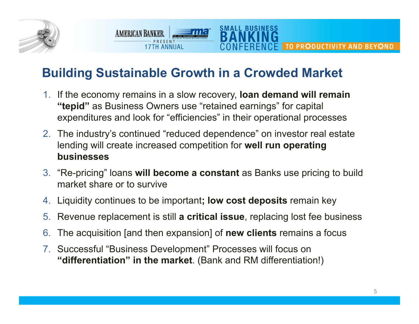

## **Building Sustainable Growth in a Crowded Market**

**AMERICAN BANKER** 

**17TH ANNIIAI** 

SMALL BUSINESS

- 1. If the economy remains in a slow recovery, **loan demand will remain "tepid"** as Business Owners use "retained earnings" for capital expenditures and look for "efficiencies" in their operational processes
- 2. The industry's continued "reduced dependence" on investor real estate lending will create increased competition for **well run operating businesses**
- 3. "Re-pricing" loans **will become a constant** as Banks use pricing to build market share or to survive
- 4. Liquidity continues to be important**; low cost deposits** remain key
- 5. Revenue replacement is still **a critical issue**, replacing lost fee business
- 6.The acquisition [and then expansion] of **new clients** remains a focus
- 7. Successful "Business Development" Processes will focus on **"differentiation" in the market**. (Bank and RM differentiation!)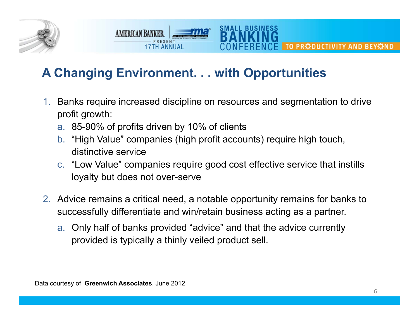

## **A Changing Environment. . . with Opportunities**

1. Banks require increased discipline on resources and segmentation to drive profit growth:

SMALL BUSIN

a. 85-90% of profits driven by 10% of clients

17TH ANNIIAI

**AMERICAN BANKER** 

- b. "High Value" companies (high profit accounts) require high touch, distinctive service
- c. "Low Value" companies require good cost effective service that instills loyalty but does not over-serve
- 2. Advice remains a critical need, a notable opportunity remains for banks to successfully differentiate and win/retain business acting as a partner.
	- a. Only half of banks provided "advice" and that the advice currently provided is typically a thinly veiled product sell.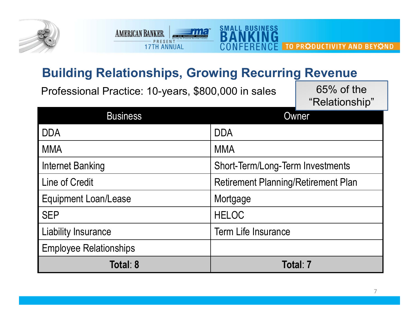

## **Building Relationships, Growing Recurring Revenue**

≡m

**Branch** 

**THESENT** 

**AMERICAN BANKER** 

**SMALL BUSINESS** 

 $C$  $F$ 

| Professional Practice: 10-years, \$800,000 in sales |                                            | $65\%$ of the<br>"Relationship" |
|-----------------------------------------------------|--------------------------------------------|---------------------------------|
| <b>Business</b>                                     |                                            | Owner                           |
| <b>DDA</b>                                          | <b>DDA</b>                                 |                                 |
| <b>MMA</b>                                          | <b>MMA</b>                                 |                                 |
| <b>Internet Banking</b>                             | Short-Term/Long-Term Investments           |                                 |
| Line of Credit                                      | <b>Retirement Planning/Retirement Plan</b> |                                 |
| <b>Equipment Loan/Lease</b>                         | Mortgage                                   |                                 |
| <b>SEP</b>                                          | <b>HELOC</b>                               |                                 |
| Liability Insurance                                 | <b>Term Life Insurance</b>                 |                                 |
| <b>Employee Relationships</b>                       |                                            |                                 |
| Total: 8                                            |                                            | Totalː 7                        |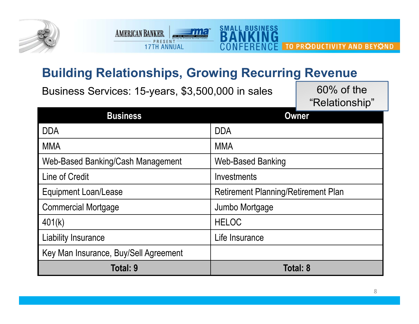



**SMALL BUSINESS** 

Business Services: 15-years, \$3,500,000 in sales 60% of the

**THESENT** 

**AMERICAN BANKER.** 

"Relationship"

| <b>Business</b>                       | <b>Owner</b>                               |
|---------------------------------------|--------------------------------------------|
| <b>DDA</b>                            | <b>DDA</b>                                 |
| <b>MMA</b>                            | <b>MMA</b>                                 |
| Web-Based Banking/Cash Management     | <b>Web-Based Banking</b>                   |
| Line of Credit                        | Investments                                |
| <b>Equipment Loan/Lease</b>           | <b>Retirement Planning/Retirement Plan</b> |
| <b>Commercial Mortgage</b>            | Jumbo Mortgage                             |
| 401(k)                                | <b>HELOC</b>                               |
| Liability Insurance                   | Life Insurance                             |
| Key Man Insurance, Buy/Sell Agreement |                                            |
| Total: 9                              | Total: 8                                   |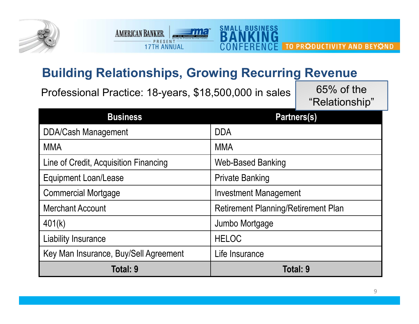



## **Building Relationships, Growing Recurring Revenue**

Professional Practice: 18-years, \$18,500,000 in sales 65% of the "Relationship"

| <b>Business</b>                       | <b>Partners(s)</b>                         |
|---------------------------------------|--------------------------------------------|
| <b>DDA/Cash Management</b>            | <b>DDA</b>                                 |
| <b>MMA</b>                            | <b>MMA</b>                                 |
| Line of Credit, Acquisition Financing | <b>Web-Based Banking</b>                   |
| <b>Equipment Loan/Lease</b>           | <b>Private Banking</b>                     |
| <b>Commercial Mortgage</b>            | <b>Investment Management</b>               |
| <b>Merchant Account</b>               | <b>Retirement Planning/Retirement Plan</b> |
| 401(k)                                | Jumbo Mortgage                             |
| Liability Insurance                   | <b>HELOC</b>                               |
| Key Man Insurance, Buy/Sell Agreement | Life Insurance                             |
| Total: 9                              | Total: 9                                   |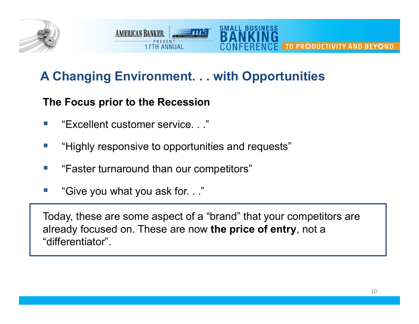

#### SMALL BUSIN **AMERICAN BANKER** TO PRODUCTIVITY AND BEYOND **17TH ANNIIAI**

## **A Changing Environment. . . with Opportunities**

### **The Focus prior to the Recession**

- $\mathcal{C}^{\mathcal{A}}$ "Excellent customer service. . ."
- $\mathcal{C}^{\mathcal{A}}$ "Highly responsive to opportunities and requests"
- $\mathcal{C}^{\mathcal{A}}$ "Faster turnaround than our competitors"
- $\mathcal{C}^{\mathcal{A}}$ "Give you what you ask for. . ."

Today, these are some aspect of a "brand" that your competitors are already focused on. These are now **the price of entry**, not a "differentiator".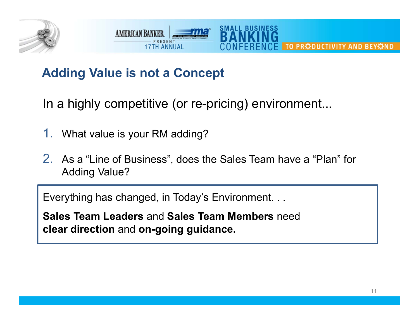



## **Adding Value is not a Concept**

In a highly competitive (or re-pricing) environment...

- 1.What value is your RM adding?
- 2. As a "Line of Business", does the Sales Team have a "Plan" for Adding Value?

Everything has changed, in Today's Environment. . .

**Sales Team Leaders** and **Sales Team Members** need **clear direction** and **on-going guidance.**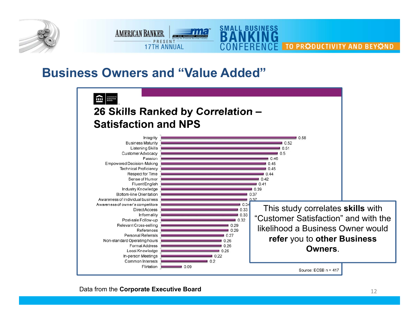



### **Business Owners and "Value Added"**

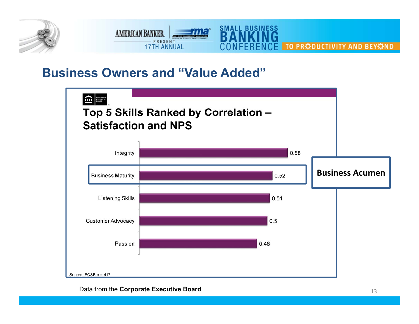



### **Business Owners and "Value Added"**

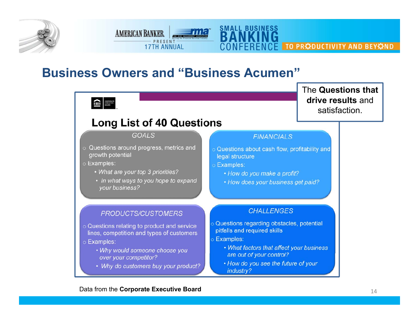



### **Business Owners and "Business Acumen"**

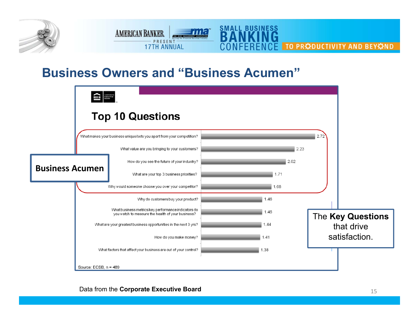



### **Business Owners and "Business Acumen"**

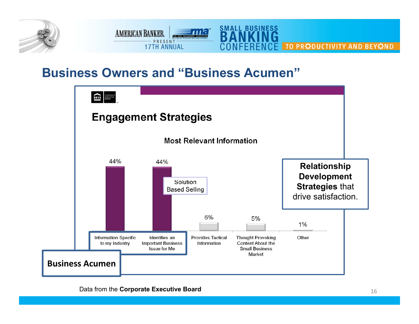



### **Business Owners and "Business Acumen"**

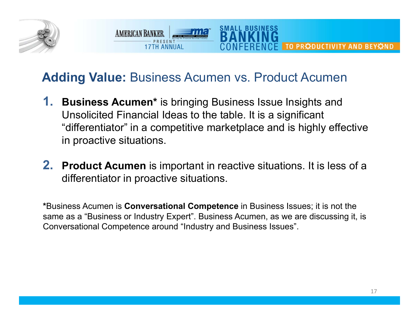

## **Adding Value:** Business Acumen vs. Product Acumen

**AMERICAN BANKER** 

**17TH ANNIIAI** 

**1. Business Acumen\*** is bringing Business Issue Insights and Unsolicited Financial Ideas to the table. It is a significant "differentiator" in a competitive marketplace and is highly effective in proactive situations.

SMALL BUSINE

**2. Product Acumen** is important in reactive situations. It is less of a differentiator in proactive situations.

**\***Business Acumen is **Conversational Competence** in Business Issues; it is not the same as a "Business or Industry Expert". Business Acumen, as we are discussing it, is Conversational Competence around "Industry and Business Issues".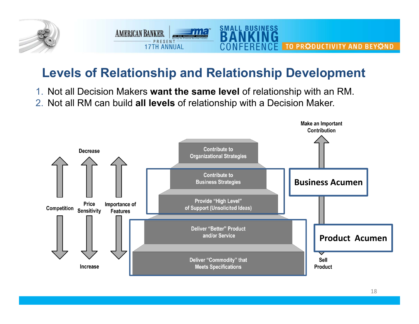

## **Levels of Relationship and Relationship Development**

**SMALL BUSINESS** 

- 1. Not all Decision Makers **want the same level** of relationship with an RM.
- 2. Not all RM can build **all levels** of relationship with a Decision Maker.

**AMERICAN BANKER** 

PRESENT

**17TH ANNUAL** 

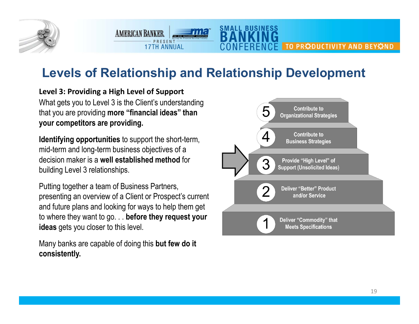

## **Levels of Relationship and Relationship Development**

**SMALL BUSINESS** 

**Level 3: Providing a High Level of Support** What gets you to Level 3 is the Client's understanding that you are providing **more "financial ideas" than your competitors are providing.**

**AMERICAN BANKER** 

PRESENT

**17TH ANNUAL** 

**Identifying opportunities** to support the short-term, mid-term and long-term business objectives of a decision maker is a **well established method** for building Level 3 relationships.

Putting together a team of Business Partners, presenting an overview of a Client or Prospect's current and future plans and looking for ways to help them get to where they want to go. . . **before they request your ideas** gets you closer to this level.

Many banks are capable of doing this **but few do it consistently.**

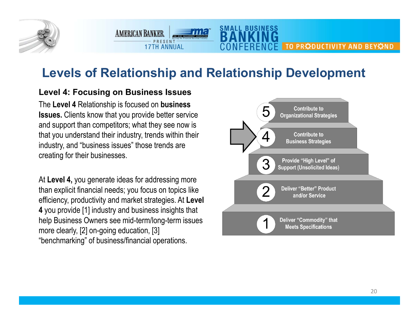

## **Levels of Relationship and Relationship Development**

**SMALL BUSINESS** 

#### **Level 4: Focusing on Business Issues**

**AMERICAN BANKER** 

PRESENT

**17TH ANNUAL** 

The **Level 4** Relationship is focused on **business Issues.** Clients know that you provide better service and support than competitors; what they see now is that you understand their industry, trends within their industry, and "business issues" those trends are creating for their businesses.

At **Level 4,** you generate ideas for addressing more than explicit financial needs; you focus on topics like efficiency, productivity and market strategies. At **Level 4** you provide [1] industry and business insights that help Business Owners see mid-term/long-term issues more clearly, [2] on-going education, [3] "benchmarking" of business/financial operations.

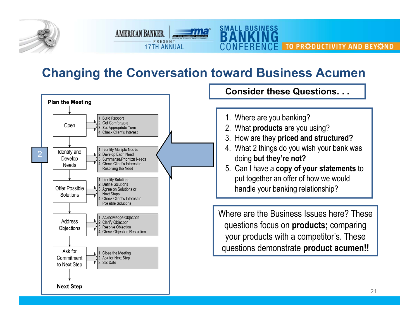

## **Changing the Conversation toward Business Acumen**

AMERICAN BANKER **Fina** PRESENT

**17TH ANNUAL** 

**SMALL BUSINESS** 



1. Where are you banking? 2. What **products** are you using? 3. How are they **priced and structured?** 4. What 2 things do you wish your bank was doing **but they're not?** 5. Can I have a **copy of your statements** to put together an offer of how we would handle your banking relationship? Where are the Business Issues here? These questions focus on **products;** comparing your products with a competitor's. These **Consider these Questions. . .** 

TO PRODUCTIVITY AND BEYOND

questions demonstrate **product acumen!!**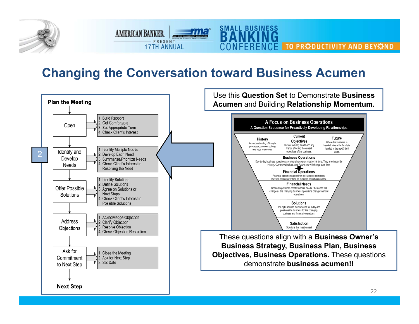

## **Changing the Conversation toward Business Acumen**

AMERICAN BANKER PRESENT

**17TH ANNUAL** 

**SMALL BUSINESS** 

NFFRFNCF

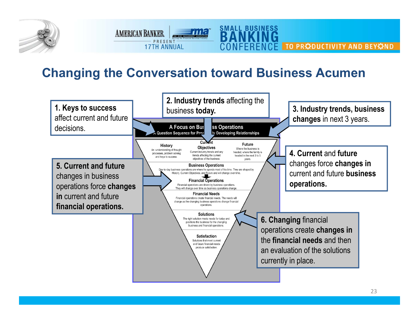

## **Changing the Conversation toward Business Acumen**

AMERICAN BANKER PRESENT

**17TH ANNUAL** 

**SMALL BUSINESS** 

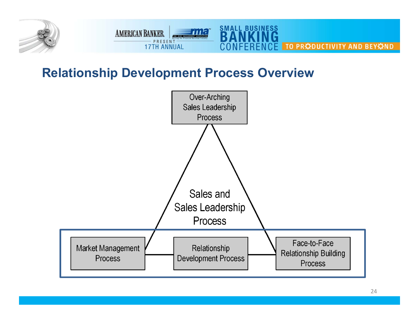

## **Relationship Development Process Overview**

AMERICAN BANKER

**PRESENT** 



**SMALL BUSINESS** 

NFFRFNCF

E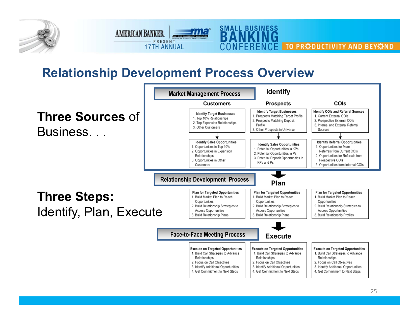

## **Relationship Development Process Overview**

AMERICAN BANKER PRESENT

**17TH ANNUAL** 



**SMALL BUSINESS**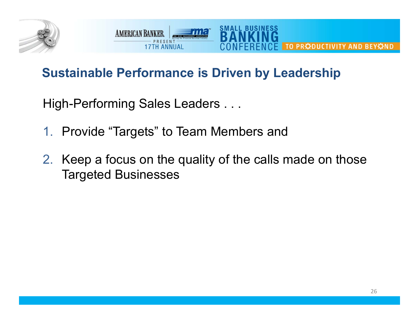

#### **AMERICAN BANKER** TO PRODUCTIVITY AND BEYOND **17TH ANNUAL**

## **Sustainable Performance is Driven by Leadership**

High-Performing Sales Leaders . . .

- 1. Provide "Targets" to Team Members and
- 2. Keep a focus on the quality of the calls made on those Targeted Businesses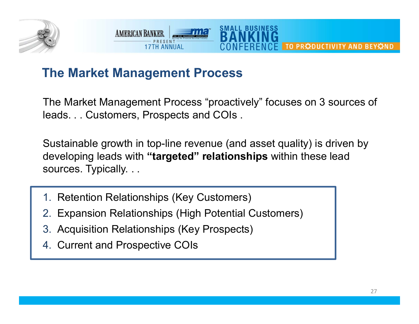



## **The Market Management Process**

The Market Management Process "proactively" focuses on 3 sources of leads. . . Customers, Prospects and COIs .

Sustainable growth in top-line revenue (and asset quality) is driven by developing leads with **"targeted" relationships** within these lead sources. Typically. . .

- 1. Retention Relationships (Key Customers)
- 2. Expansion Relationships (High Potential Customers)
- 3. Acquisition Relationships (Key Prospects)
- 4. Current and Prospective COIs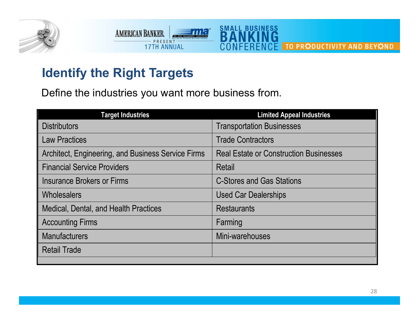



## **Identify the Right Targets**

Define the industries you want more business from.

| <b>Target Industries</b>                           | <b>Limited Appeal Industries</b>              |
|----------------------------------------------------|-----------------------------------------------|
| <b>Distributors</b>                                | <b>Transportation Businesses</b>              |
| <b>Law Practices</b>                               | <b>Trade Contractors</b>                      |
| Architect, Engineering, and Business Service Firms | <b>Real Estate or Construction Businesses</b> |
| <b>Financial Service Providers</b>                 | Retail                                        |
| <b>Insurance Brokers or Firms</b>                  | <b>C-Stores and Gas Stations</b>              |
| Wholesalers                                        | <b>Used Car Dealerships</b>                   |
| Medical, Dental, and Health Practices              | <b>Restaurants</b>                            |
| <b>Accounting Firms</b>                            | Farming                                       |
| <b>Manufacturers</b>                               | Mini-warehouses                               |
| <b>Retail Trade</b>                                |                                               |
|                                                    |                                               |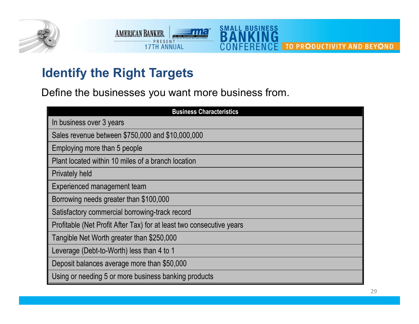



## **Identify the Right Targets**

Define the businesses you want more business from.

| <b>Business Characteristics</b>                                      |
|----------------------------------------------------------------------|
| In business over 3 years                                             |
| Sales revenue between \$750,000 and \$10,000,000                     |
| Employing more than 5 people                                         |
| Plant located within 10 miles of a branch location                   |
| <b>Privately held</b>                                                |
| Experienced management team                                          |
| Borrowing needs greater than \$100,000                               |
| Satisfactory commercial borrowing-track record                       |
| Profitable (Net Profit After Tax) for at least two consecutive years |
| Tangible Net Worth greater than \$250,000                            |
| Leverage (Debt-to-Worth) less than 4 to 1                            |
| Deposit balances average more than \$50,000                          |
| Using or needing 5 or more business banking products                 |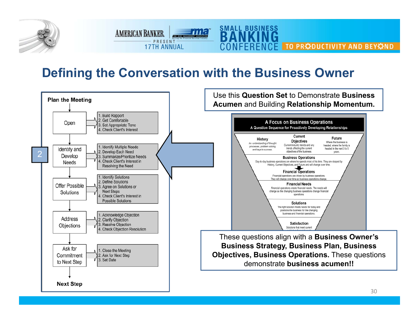

#### **SMALL BUSINESS** AMERICAN BANKER PRESENT TO PRODUCTIVITY AND BEYOND **17TH ANNUAL**

## **Defining the Conversation with the Business Owner**

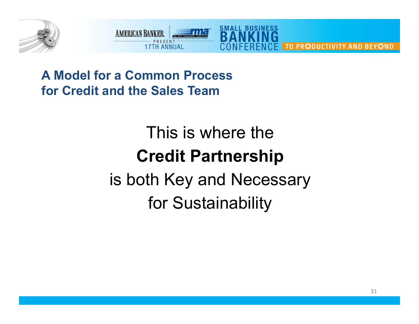



**A Model for a Common Processfor Credit and the Sales Team**

# This is where the**Credit Partnership** is both Key and Necessary for Sustainability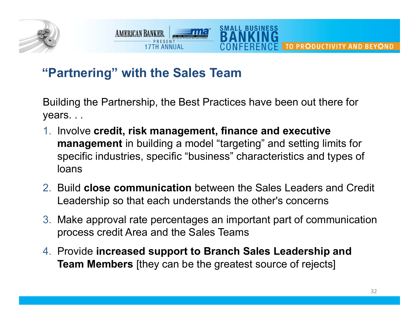



## **"Partnering" with the Sales Team**

Building the Partnership, the Best Practices have been out there for years. . .

- 1. Involve **credit, risk management, finance and executive management** in building a model "targeting" and setting limits for specific industries, specific "business" characteristics and types of loans
- 2. Build **close communication** between the Sales Leaders and Credit Leadership so that each understands the other's concerns
- 3. Make approval rate percentages an important part of communication process credit Area and the Sales Teams
- 4. Provide **increased support to Branch Sales Leadership and Team Members** [they can be the greatest source of rejects]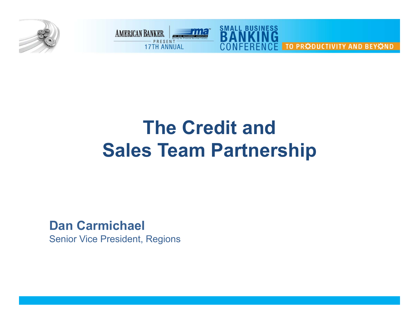



# **The Credit andSales Team Partnership**

**Dan Carmichael**

Senior Vice President, Regions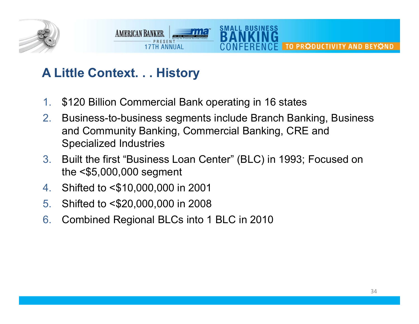



## **A Little Context. . . History**

- 1.\$120 Billion Commercial Bank operating in 16 states
- 2. Business-to-business segments include Branch Banking, Business and Community Banking, Commercial Banking, CRE and Specialized Industries
- 3. Built the first "Business Loan Center" (BLC) in 1993; Focused on the <\$5,000,000 segment
- 4.Shifted to <\$10,000,000 in 2001
- 5.Shifted to <\$20,000,000 in 2008
- 6.Combined Regional BLCs into 1 BLC in 2010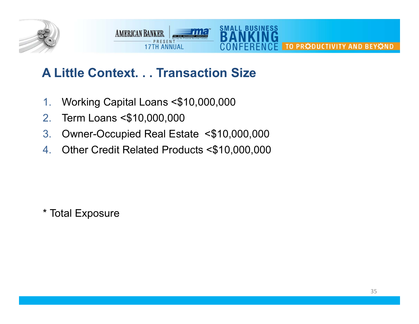

#### **SMALL BUSIN AMERICAN BANKER** TO PRODUCTIVITY AND BEYOND **17TH ANNUAL**

## **A Little Context. . . Transaction Size**

- 1.Working Capital Loans <\$10,000,000
- 2.Term Loans <\$10,000,000
- 3.Owner-Occupied Real Estate <\$10,000,000
- 4.Other Credit Related Products <\$10,000,000

\* Total Exposure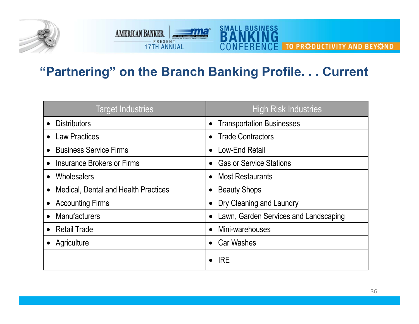



## **"Partnering" on the Branch Banking Profile. . . Current**

| <b>Target Industries</b>             | High Risk Industries                          |
|--------------------------------------|-----------------------------------------------|
| <b>Distributors</b>                  | <b>Transportation Businesses</b><br>$\bullet$ |
| <b>Law Practices</b>                 | <b>Trade Contractors</b><br>$\bullet$         |
| <b>Business Service Firms</b>        | Low-End Retail<br>$\bullet$                   |
| Insurance Brokers or Firms           | <b>Gas or Service Stations</b><br>$\bullet$   |
| <b>Wholesalers</b>                   | <b>Most Restaurants</b><br>$\bullet$          |
| Medical, Dental and Health Practices | <b>Beauty Shops</b><br>$\bullet$              |
| <b>Accounting Firms</b>              | Dry Cleaning and Laundry<br>$\bullet$         |
| <b>Manufacturers</b>                 | Lawn, Garden Services and Landscaping         |
| <b>Retail Trade</b>                  | Mini-warehouses<br>$\bullet$                  |
| Agriculture                          | <b>Car Washes</b>                             |
|                                      | <b>IRE</b>                                    |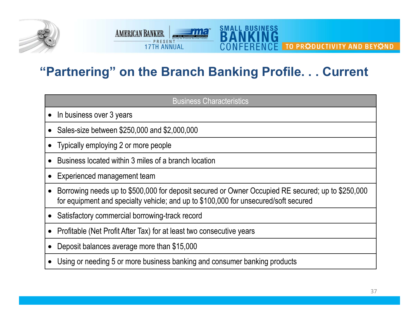



## **"Partnering" on the Branch Banking Profile. . . Current**

| <b>Business Characteristics</b>                                                                                                                                                          |  |  |
|------------------------------------------------------------------------------------------------------------------------------------------------------------------------------------------|--|--|
| In business over 3 years                                                                                                                                                                 |  |  |
| Sales-size between \$250,000 and \$2,000,000                                                                                                                                             |  |  |
| Typically employing 2 or more people                                                                                                                                                     |  |  |
| Business located within 3 miles of a branch location                                                                                                                                     |  |  |
| Experienced management team                                                                                                                                                              |  |  |
| Borrowing needs up to \$500,000 for deposit secured or Owner Occupied RE secured; up to \$250,000<br>for equipment and specialty vehicle; and up to \$100,000 for unsecured/soft secured |  |  |
| Satisfactory commercial borrowing-track record                                                                                                                                           |  |  |
| Profitable (Net Profit After Tax) for at least two consecutive years                                                                                                                     |  |  |
| Deposit balances average more than \$15,000                                                                                                                                              |  |  |
| Using or needing 5 or more business banking and consumer banking products                                                                                                                |  |  |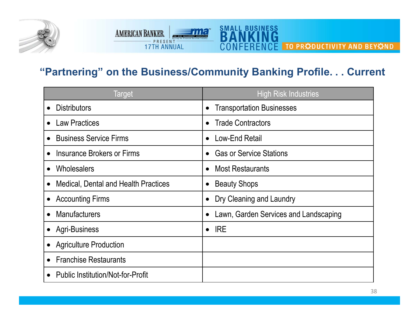

#### **SMALL BUSINESS AMERICAN BANKER** ≡m **DESCRIPTION THESENT CE TO PRODUCTIVITY AND BEYOND**

### **"Partnering" on the Business/Community Banking Profile. . . Current**

| <b>Target</b>                               | <b>High Risk Industries</b>           |
|---------------------------------------------|---------------------------------------|
| <b>Distributors</b>                         | <b>Transportation Businesses</b>      |
| <b>Law Practices</b>                        | <b>Trade Contractors</b>              |
| <b>Business Service Firms</b>               | Low-End Retail<br>$\bullet$           |
| <b>Insurance Brokers or Firms</b>           | <b>Gas or Service Stations</b>        |
| Wholesalers                                 | <b>Most Restaurants</b>               |
| <b>Medical, Dental and Health Practices</b> | <b>Beauty Shops</b>                   |
| <b>Accounting Firms</b>                     | Dry Cleaning and Laundry              |
| <b>Manufacturers</b>                        | Lawn, Garden Services and Landscaping |
| <b>Agri-Business</b>                        | <b>IRE</b><br>$\bullet$               |
| <b>Agriculture Production</b>               |                                       |
| <b>Franchise Restaurants</b>                |                                       |
| <b>Public Institution/Not-for-Profit</b>    |                                       |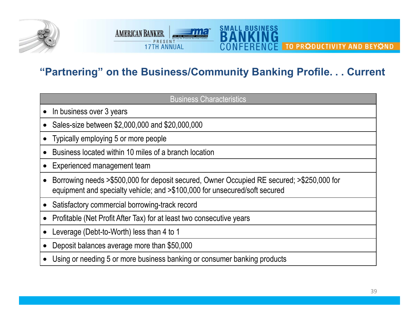



### **"Partnering" on the Business/Community Banking Profile. . . Current**

| <b>Business Characteristics</b>                                                                                                                                         |
|-------------------------------------------------------------------------------------------------------------------------------------------------------------------------|
| • In business over 3 years                                                                                                                                              |
| Sales-size between \$2,000,000 and \$20,000,000                                                                                                                         |
| Typically employing 5 or more people                                                                                                                                    |
| Business located within 10 miles of a branch location                                                                                                                   |
| Experienced management team                                                                                                                                             |
| Borrowing needs >\$500,000 for deposit secured, Owner Occupied RE secured; >\$250,000 for<br>equipment and specialty vehicle; and >\$100,000 for unsecured/soft secured |
| • Satisfactory commercial borrowing-track record                                                                                                                        |
| Profitable (Net Profit After Tax) for at least two consecutive years                                                                                                    |
| Leverage (Debt-to-Worth) less than 4 to 1                                                                                                                               |
| Deposit balances average more than \$50,000                                                                                                                             |
| • Using or needing 5 or more business banking or consumer banking products                                                                                              |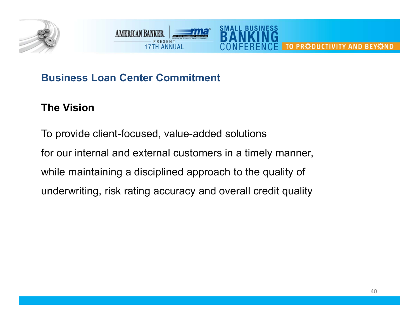



### **Business Loan Center Commitment**

### **The Vision**

To provide client-focused, value-added solutions for our internal and external customers in a timely manner, while maintaining a disciplined approach to the quality of underwriting, risk rating accuracy and overall credit quality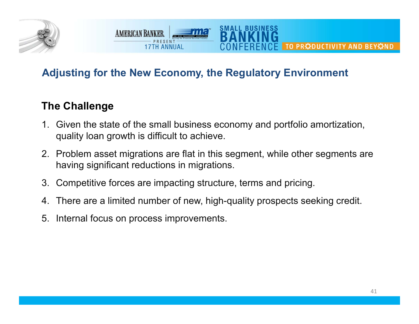

SMALL BUSINE

### **The Challenge**

- 1. Given the state of the small business economy and portfolio amortization, quality loan growth is difficult to achieve.
- 2. Problem asset migrations are flat in this segment, while other segments are having significant reductions in migrations.
- 3. Competitive forces are impacting structure, terms and pricing.
- 4. There are a limited number of new, high-quality prospects seeking credit.
- 5. Internal focus on process improvements.

**AMERICAN BANKER** 

**17TH ANNIIAI**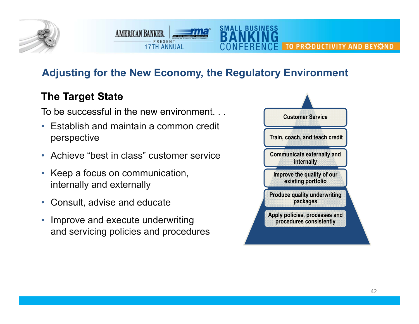

**SMALL BUSINESS** 

### **The Target State**

To be successful in the new environment. . .

**AMERICAN BANKER** 

PRESENT

**17TH ANNUAL** 

- • Establish and maintain a common credit perspective
- Achieve "best in class" customer service
- Keep a focus on communication, internally and externally
- Consult, advise and educate
- $\bullet$  Improve and execute underwriting and servicing policies and procedures

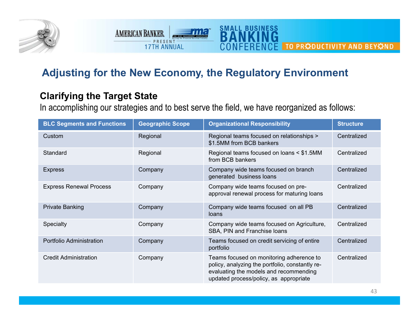

**SMALL BUSINESS** 

### **Clarifying the Target State**

**AMERICAN BANKER** 

PRESENT

**17TH ANNUAL** 

In accomplishing our strategies and to best serve the field, we have reorganized as follows:

| <b>BLC Segments and Functions</b> | <b>Geographic Scope</b> | <b>Organizational Responsibility</b>                                                                                                                                            | <b>Structure</b> |
|-----------------------------------|-------------------------|---------------------------------------------------------------------------------------------------------------------------------------------------------------------------------|------------------|
| Custom                            | Regional                | Regional teams focused on relationships ><br>\$1.5MM from BCB bankers                                                                                                           | Centralized      |
| Standard                          | Regional                | Regional teams focused on loans < \$1.5MM<br>from BCB bankers                                                                                                                   | Centralized      |
| <b>Express</b>                    | Company                 | Company wide teams focused on branch<br>generated business loans                                                                                                                | Centralized      |
| <b>Express Renewal Process</b>    | Company                 | Company wide teams focused on pre-<br>approval renewal process for maturing loans                                                                                               | Centralized      |
| <b>Private Banking</b>            | Company                 | Company wide teams focused on all PB<br>loans                                                                                                                                   | Centralized      |
| Specialty                         | Company                 | Company wide teams focused on Agriculture,<br>SBA, PIN and Franchise loans                                                                                                      | Centralized      |
| Portfolio Administration          | Company                 | Teams focused on credit servicing of entire<br>portfolio                                                                                                                        | Centralized      |
| <b>Credit Administration</b>      | Company                 | Teams focused on monitoring adherence to<br>policy, analyzing the portfolio, constantly re-<br>evaluating the models and recommending<br>updated process/policy, as appropriate | Centralized      |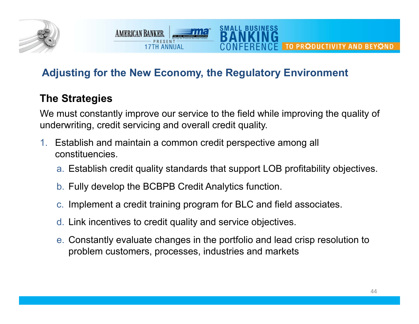

### **The Strategies**

We must constantly improve our service to the field while improving the quality of underwriting, credit servicing and overall credit quality.

SMALL BUSINE

- 1. Establish and maintain a common credit perspective among all constituencies.
	- a. Establish credit quality standards that support LOB profitability objectives.
	- b. Fully develop the BCBPB Credit Analytics function.

**AMERICAN BANKER** 

**17TH ANNUAL** 

- c. Implement a credit training program for BLC and field associates.
- d. Link incentives to credit quality and service objectives.
- e. Constantly evaluate changes in the portfolio and lead crisp resolution to problem customers, processes, industries and markets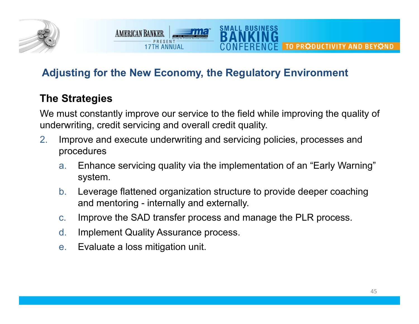

### **The Strategies**

We must constantly improve our service to the field while improving the quality of underwriting, credit servicing and overall credit quality.

SMALL BUSINESS

- 2. Improve and execute underwriting and servicing policies, processes and procedures
	- a. Enhance servicing quality via the implementation of an "Early Warning" system.
	- b. Leverage flattened organization structure to provide deeper coaching and mentoring - internally and externally.
	- c.Improve the SAD transfer process and manage the PLR process.
	- d.Implement Quality Assurance process.

**AMERICAN BANKER** 

**17TH ANNUAL** 

e.Evaluate a loss mitigation unit.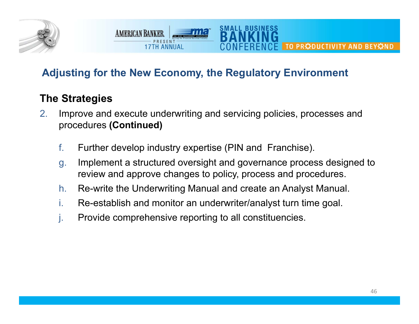

**AMERICAN BANKER** 

**17TH ANNUAL** 

### **The Strategies**

- 2. Improve and execute underwriting and servicing policies, processes and procedures **(Continued)**
	- f.Further develop industry expertise (PIN and Franchise).
	- g. Implement a structured oversight and governance process designed to review and approve changes to policy, process and procedures.

SMALL BUSINESS

- h.Re-write the Underwriting Manual and create an Analyst Manual.
- i.Re-establish and monitor an underwriter/analyst turn time goal.
- j. Provide comprehensive reporting to all constituencies.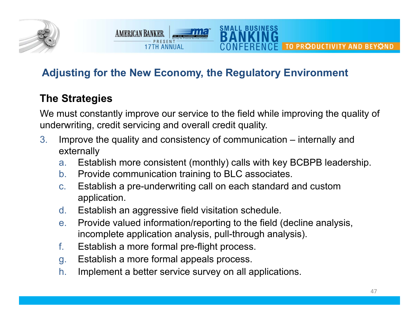

### **The Strategies**

We must constantly improve our service to the field while improving the quality of underwriting, credit servicing and overall credit quality.

SMALL BUSINE:

- 3. Improve the quality and consistency of communication – internally and externally
	- a.Establish more consistent (monthly) calls with key BCBPB leadership.
	- b.Provide communication training to BLC associates.
	- c. Establish a pre-underwriting call on each standard and custom application.
	- d.Establish an aggressive field visitation schedule.
	- e. Provide valued information/reporting to the field (decline analysis, incomplete application analysis, pull-through analysis).
	- f.Establish a more formal pre-flight process.

**AMERICAN BANKER** 

**17TH ANNUAL** 

- g. Establish a more formal appeals process.
- h.Implement a better service survey on all applications.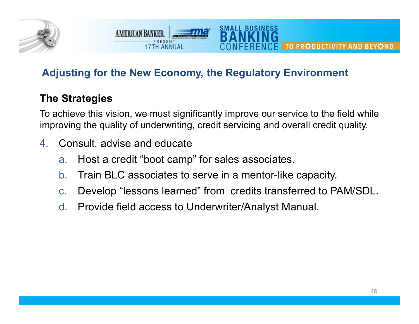

### **The Strategies**

To achieve this vision, we must significantly improve our service to the field while improving the quality of underwriting, credit servicing and overall credit quality.

SMALL BUSINE:

4.Consult, advise and educate

**AMERICAN BANKER** 

**17TH ANNUAL** 

- a.Host a credit "boot camp" for sales associates.
- $b<sub>1</sub>$ Train BLC associates to serve in a mentor-like capacity.
- c.Develop "lessons learned" from credits transferred to PAM/SDL.
- d.Provide field access to Underwriter/Analyst Manual.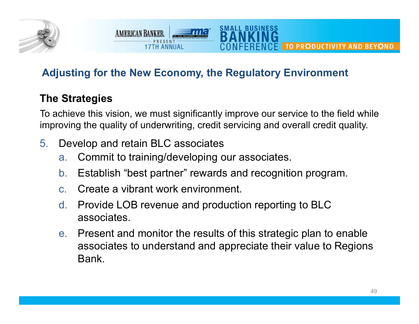

### **The Strategies**

To achieve this vision, we must significantly improve our service to the field while improving the quality of underwriting, credit servicing and overall credit quality.

SMALL BUSINESS

5.Develop and retain BLC associates

**AMERICAN BANKER** 

**17TH ANNIIAI** 

- a.Commit to training/developing our associates.
- $b_{-}$ Establish "best partner" rewards and recognition program.
- c.Create a vibrant work environment.
- d. Provide LOB revenue and production reporting to BLC associates.
- e. Present and monitor the results of this strategic plan to enable associates to understand and appreciate their value to Regions Bank.